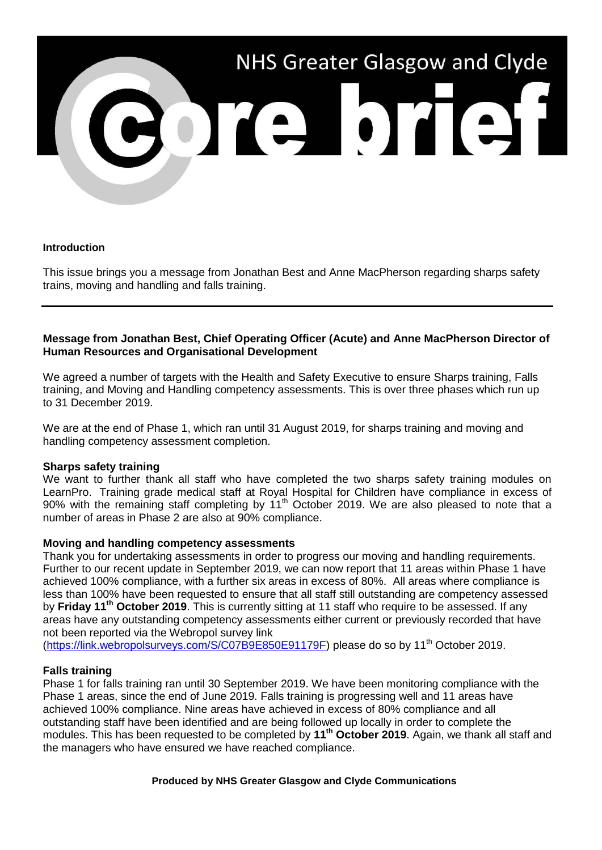

#### **Introduction**

This issue brings you a message from Jonathan Best and Anne MacPherson regarding sharps safety trains, moving and handling and falls training.

## **Message from Jonathan Best, Chief Operating Officer (Acute) and Anne MacPherson Director of Human Resources and Organisational Development**

We agreed a number of targets with the Health and Safety Executive to ensure Sharps training. Falls training, and Moving and Handling competency assessments. This is over three phases which run up to 31 December 2019.

We are at the end of Phase 1, which ran until 31 August 2019, for sharps training and moving and handling competency assessment completion.

## **Sharps safety training**

We want to further thank all staff who have completed the two sharps safety training modules on LearnPro. Training grade medical staff at Royal Hospital for Children have compliance in excess of 90% with the remaining staff completing by 11th October 2019. We are also pleased to note that a number of areas in Phase 2 are also at 90% compliance.

#### **Moving and handling competency assessments**

Thank you for undertaking assessments in order to progress our moving and handling requirements. Further to our recent update in September 2019, we can now report that 11 areas within Phase 1 have achieved 100% compliance, with a further six areas in excess of 80%. All areas where compliance is less than 100% have been requested to ensure that all staff still outstanding are competency assessed by **Friday 11th October 2019**. This is currently sitting at 11 staff who require to be assessed. If any areas have any outstanding competency assessments either current or previously recorded that have not been reported via the Webropol survey link

[\(https://link.webropolsurveys.com/S/C07B9E850E91179F\)](https://link.webropolsurveys.com/S/C07B9E850E91179F) please do so by 11<sup>th</sup> October 2019.

#### **Falls training**

Phase 1 for falls training ran until 30 September 2019. We have been monitoring compliance with the Phase 1 areas, since the end of June 2019. Falls training is progressing well and 11 areas have achieved 100% compliance. Nine areas have achieved in excess of 80% compliance and all outstanding staff have been identified and are being followed up locally in order to complete the modules. This has been requested to be completed by **11th October 2019**. Again, we thank all staff and the managers who have ensured we have reached compliance.

#### **Produced by NHS Greater Glasgow and Clyde Communications**